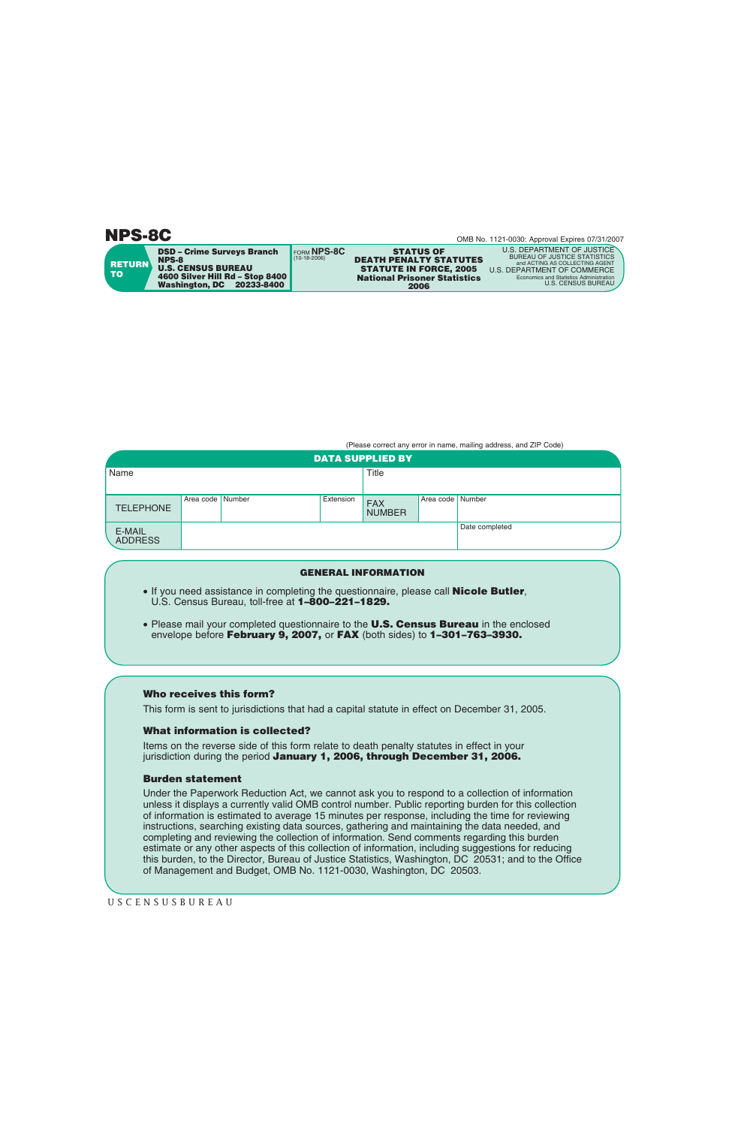**NPS-8C**

OMB No. 1121-0030: Approval Expires 07/31/2007

**RETURN TO**

FORM **NPS-8C**  $(10-18-2006)$ **DSD – Crime Surveys Branch NPS-8 U.S. CENSUS BUREAU 4600 Silver Hill Rd – Stop 8400 Washington, DC 20233-8400**

**STATUS OF DEATH PENALTY STATUTES 2006 National Prisoner Statistics**

**STATUTE IN FORCE, 2005** U.S. DEPARTMENT OF COMMERCE U.S. DEPARTMENT OF JUSTICE BUREAU OF JUSTICE STATISTICS ACTING AS COLLECTING AGENT **Economics and Statistics Administration** U.S. CENSUS BUREAU

(Please correct any error in name, mailing address, and ZIP Code)

| <b>DATA SUPPLIED BY</b>  |                    |  |           |                             |                    |                |  |
|--------------------------|--------------------|--|-----------|-----------------------------|--------------------|----------------|--|
| Name                     |                    |  |           | <b>Title</b>                |                    |                |  |
| <b>TELEPHONE</b>         | Area code   Number |  | Extension | <b>FAX</b><br><b>NUMBER</b> | Area code   Number |                |  |
| E-MAIL<br><b>ADDRESS</b> |                    |  |           |                             |                    | Date completed |  |

## **GENERAL INFORMATION**

- If you need assistance in completing the questionnaire, please call **Nicole Butler**, U.S. Census Bureau, toll-free at **1–800–221–1829.**
- Please mail your completed questionnaire to the **U.S. Census Bureau** in the enclosed envelope before **February 9, 2007,** or **FAX** (both sides) to **1–301–763–3930.**

## **Who receives this form?**

This form is sent to jurisdictions that had a capital statute in effect on December 31, 2005.

## **What information is collected?**

Items on the reverse side of this form relate to death penalty statutes in effect in your jurisdiction during the period **January 1, 2006, through December 31, 2006.**

## **Burden statement**

Under the Paperwork Reduction Act, we cannot ask you to respond to a collection of information unless it displays a currently valid OMB control number. Public reporting burden for this collection of information is estimated to average 15 minutes per response, including the time for reviewing instructions, searching existing data sources, gathering and maintaining the data needed, and completing and reviewing the collection of information. Send comments regarding this burden estimate or any other aspects of this collection of information, including suggestions for reducing this burden, to the Director, Bureau of Justice Statistics, Washington, DC 20531; and to the Office of Management and Budget, OMB No. 1121-0030, Washington, DC 20503.